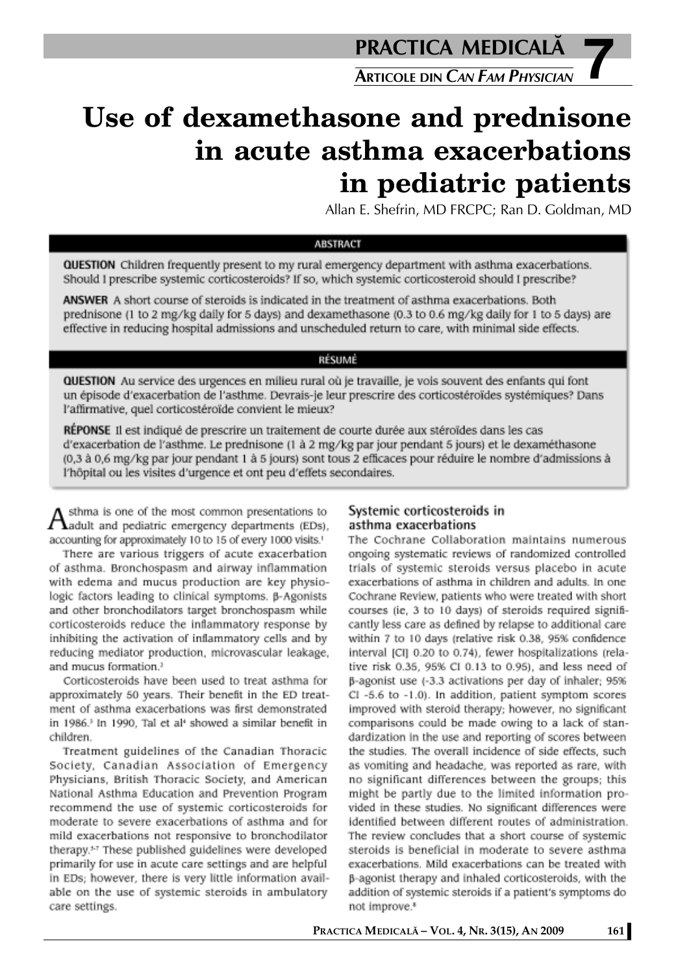**7 PRACTICA MEDICALÅ ARTICOLE DIN** *CAN FAM PHYSICIAN*

# **Use of dexamethasone and prednisone in acute asthma exacerbations in pediatric patients**

Allan E. Shefrin, MD FRCPC; Ran D. Goldman, MD

## **ABSTRACT**

QUESTION Children frequently present to my rural emergency department with asthma exacerbations. Should I prescribe systemic corticosteroids? If so, which systemic corticosteroid should I prescribe?

ANSWER A short course of steroids is indicated in the treatment of asthma exacerbations. Both prednisone (1 to 2 mg/kg daily for 5 days) and dexamethasone (0.3 to 0.6 mg/kg daily for 1 to 5 days) are effective in reducing hospital admissions and unscheduled return to care, with minimal side effects.

# RÉSUMÉ

QUESTION Au service des urgences en milieu rural où je travaille, je vois souvent des enfants qui font un épisode d'exacerbation de l'asthme. Devrais-je leur prescrire des corticostéroïdes systémiques? Dans l'affirmative, quel corticostéroïde convient le mieux?

RÉPONSE Il est indiqué de prescrire un traitement de courte durée aux stéroïdes dans les cas d'exacerbation de l'asthme. Le prednisone (1 à 2 mg/kg par jour pendant 5 jours) et le dexaméthasone (0,3 à 0,6 mg/kg par jour pendant 1 à 5 jours) sont tous 2 efficaces pour réduire le nombre d'admissions à l'hôpital ou les visites d'urgence et ont peu d'effets secondaires.

sthma is one of the most common presentations to  $A<sub>addult</sub>$  and pediatric emergency departments (EDs), accounting for approximately 10 to 15 of every 1000 visits.<sup>1</sup>

There are various triggers of acute exacerbation of asthma. Bronchospasm and airway inflammation with edema and mucus production are key physiologic factors leading to clinical symptoms. ß-Agonists and other bronchodilators target bronchospasm while corticosteroids reduce the inflammatory response by inhibiting the activation of inflammatory cells and by reducing mediator production, microvascular leakage, and mucus formation.<sup>2</sup>

Corticosteroids have been used to treat asthma for approximately 50 years. Their benefit in the ED treatment of asthma exacerbations was first demonstrated in 1986.<sup>3</sup> In 1990, Tal et al<sup>4</sup> showed a similar benefit in children.

Treatment guidelines of the Canadian Thoracic Society, Canadian Association of Emergency Physicians, British Thoracic Society, and American National Asthma Education and Prevention Program recommend the use of systemic corticosteroids for moderate to severe exacerbations of asthma and for mild exacerbations not responsive to bronchodilator therapy.<sup>52</sup> These published guidelines were developed primarily for use in acute care settings and are helpful in EDs; however, there is very little information available on the use of systemic steroids in ambulatory care settings.

# Systemic corticosteroids in asthma exacerbations

The Cochrane Collaboration maintains numerous ongoing systematic reviews of randomized controlled trials of systemic steroids versus placebo in acute exacerbations of asthma in children and adults. In one Cochrane Review, patients who were treated with short courses (ie, 3 to 10 days) of steroids required significantly less care as defined by relapse to additional care within 7 to 10 days (relative risk 0.38, 95% confidence interval [CI] 0.20 to 0.74), fewer hospitalizations (relative risk 0.35, 95% CI 0.13 to 0.95), and less need of B-agonist use (-3.3 activations per day of inhaler; 95% CI -5.6 to -1.0). In addition, patient symptom scores improved with steroid therapy; however, no significant comparisons could be made owing to a lack of standardization in the use and reporting of scores between the studies. The overall incidence of side effects, such as vomiting and headache, was reported as rare, with no significant differences between the groups; this might be partly due to the limited information provided in these studies. No significant differences were identified between different routes of administration. The review concludes that a short course of systemic steroids is beneficial in moderate to severe asthma exacerbations. Mild exacerbations can be treated with β-agonist therapy and inhaled corticosteroids, with the addition of systemic steroids if a patient's symptoms do not improve.<sup>8</sup>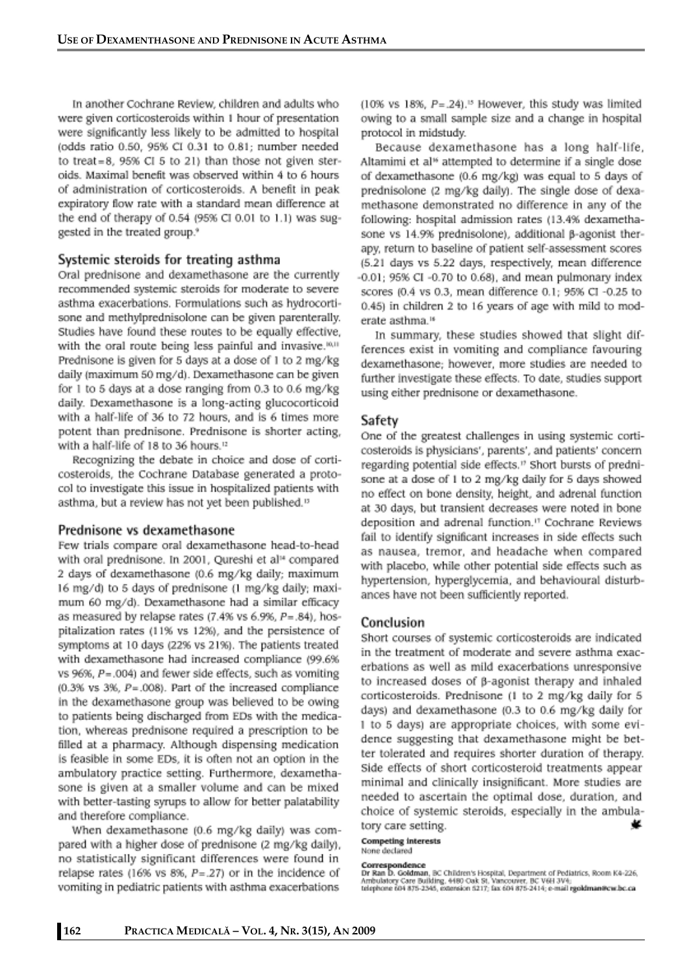In another Cochrane Review, children and adults who were given corticosteroids within 1 hour of presentation were significantly less likely to be admitted to hospital (odds ratio 0.50, 95% CI 0.31 to 0.81; number needed to treat=8,  $95\%$  CI 5 to 21) than those not given steroids. Maximal benefit was observed within 4 to 6 hours of administration of corticosteroids. A benefit in peak expiratory flow rate with a standard mean difference at the end of therapy of 0.54 (95% CI 0.01 to 1.1) was suggested in the treated group.<sup>9</sup>

## Systemic steroids for treating asthma

Oral prednisone and dexamethasone are the currently recommended systemic steroids for moderate to severe asthma exacerbations. Formulations such as hydrocortisone and methylprednisolone can be given parenterally. Studies have found these routes to be equally effective, with the oral route being less painful and invasive.<sup>[0,11</sup>] Prednisone is given for 5 days at a dose of 1 to 2 mg/kg daily (maximum 50 mg/d). Dexamethasone can be given for 1 to 5 days at a dose ranging from 0.3 to 0.6 mg/kg daily. Dexamethasone is a long-acting glucocorticoid with a half-life of 36 to 72 hours, and is 6 times more potent than prednisone. Prednisone is shorter acting, with a half-life of 18 to 36 hours.<sup>12</sup>

Recognizing the debate in choice and dose of corticosteroids, the Cochrane Database generated a protocol to investigate this issue in hospitalized patients with asthma, but a review has not yet been published.<sup>13</sup>

### Prednisone vs dexamethasone

Few trials compare oral dexamethasone head-to-head with oral prednisone. In 2001, Qureshi et al<sup>14</sup> compared 2 days of dexamethasone (0.6 mg/kg daily; maximum 16 mg/d) to 5 days of prednisone (1 mg/kg daily; maximum 60 mg/d). Dexamethasone had a similar efficacy as measured by relapse rates  $(7.4\%$  vs  $6.9\%$ ,  $P=.84$ ), hospitalization rates (11% vs 12%), and the persistence of symptoms at 10 days (22% vs 21%). The patients treated with dexamethasone had increased compliance (99.6% vs  $96\%$ ,  $P = .004$ ) and fewer side effects, such as vomiting  $(0.3\%$  vs  $3\%$ ,  $P = .008$ ). Part of the increased compliance in the dexamethasone group was believed to be owing to patients being discharged from EDs with the medication, whereas prednisone required a prescription to be filled at a pharmacy. Although dispensing medication is feasible in some EDs, it is often not an option in the ambulatory practice setting. Furthermore, dexamethasone is given at a smaller volume and can be mixed with better-tasting syrups to allow for better palatability and therefore compliance.

When dexamethasone (0.6 mg/kg daily) was compared with a higher dose of prednisone (2 mg/kg daily), no statistically significant differences were found in relapse rates (16% vs 8%,  $P = .27$ ) or in the incidence of vomiting in pediatric patients with asthma exacerbations

 $(10\% \text{ vs } 18\%, P=.24).$ <sup>15</sup> However, this study was limited owing to a small sample size and a change in hospital protocol in midstudy.

Because dexamethasone has a long half-life, Altamimi et al<sup>16</sup> attempted to determine if a single dose of dexamethasone (0.6 mg/kg) was equal to 5 days of prednisolone (2 mg/kg daily). The single dose of dexamethasone demonstrated no difference in any of the following: hospital admission rates (13.4% dexamethasone vs 14.9% prednisolone), additional B-agonist therapy, return to baseline of patient self-assessment scores (5.21 days vs 5.22 days, respectively, mean difference  $-0.01$ ; 95% CI $-0.70$  to 0.68), and mean pulmonary index scores (0.4 vs 0.3, mean difference 0.1; 95% CI -0.25 to 0.45) in children 2 to 16 years of age with mild to moderate asthma.<sup>16</sup>

In summary, these studies showed that slight differences exist in vomiting and compliance favouring dexamethasone: however, more studies are needed to further investigate these effects. To date, studies support using either prednisone or dexamethasone.

#### Safety

One of the greatest challenges in using systemic corticosteroids is physicians', parents', and patients' concern regarding potential side effects." Short bursts of prednisone at a dose of 1 to 2 mg/kg daily for 5 days showed no effect on bone density, height, and adrenal function at 30 days, but transient decreases were noted in bone deposition and adrenal function.<sup>17</sup> Cochrane Reviews fail to identify significant increases in side effects such as nausea, tremor, and headache when compared with placebo, while other potential side effects such as hypertension, hyperglycemia, and behavioural disturbances have not been sufficiently reported.

### Conclusion

Short courses of systemic corticosteroids are indicated in the treatment of moderate and severe asthma exacerbations as well as mild exacerbations unresponsive to increased doses of ß-agonist therapy and inhaled corticosteroids. Prednisone (1 to 2 mg/kg daily for 5 days) and dexamethasone (0.3 to 0.6 mg/kg daily for 1 to 5 days) are appropriate choices, with some evidence suggesting that dexamethasone might be better tolerated and requires shorter duration of therapy. Side effects of short corticosteroid treatments appear minimal and clinically insignificant. More studies are needed to ascertain the optimal dose, duration, and choice of systemic steroids, especially in the ambula-¥ tory care setting.

#### **Competing interests** None declared

Correspondence<br>Dr Ran D. Goldman, BC Children's Hospital, Department of Pediatrics, Room K4-226,<br>Ambulatory Care Building, 4480 Oak St, Vancouver, BC V6H 3V4;<br>telephone 604 875-2345, extension 6217; fax 604 875-2414; e-mai